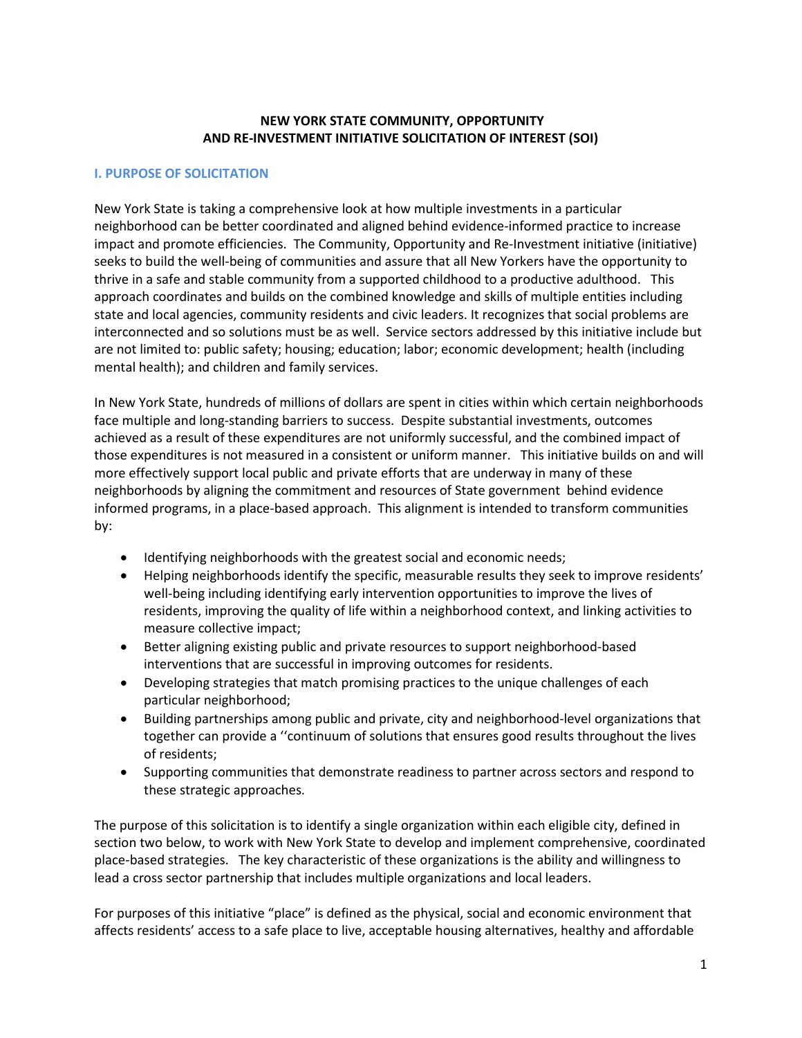#### **NEW YORK STATE COMMUNITY, OPPORTUNITY AND RE-INVESTMENT INITIATIVE SOLICITATION OF INTEREST (SOI)**

#### **I. PURPOSE OF SOLICITATION**

New York State is taking a comprehensive look at how multiple investments in a particular neighborhood can be better coordinated and aligned behind evidence-informed practice to increase impact and promote efficiencies. The Community, Opportunity and Re-Investment initiative (initiative) seeks to build the well-being of communities and assure that all New Yorkers have the opportunity to thrive in a safe and stable community from a supported childhood to a productive adulthood. This approach coordinates and builds on the combined knowledge and skills of multiple entities including state and local agencies, community residents and civic leaders. It recognizes that social problems are interconnected and so solutions must be as well. Service sectors addressed by this initiative include but are not limited to: public safety; housing; education; labor; economic development; health (including mental health); and children and family services.

In New York State, hundreds of millions of dollars are spent in cities within which certain neighborhoods face multiple and long-standing barriers to success. Despite substantial investments, outcomes achieved as a result of these expenditures are not uniformly successful, and the combined impact of those expenditures is not measured in a consistent or uniform manner. This initiative builds on and will more effectively support local public and private efforts that are underway in many of these neighborhoods by aligning the commitment and resources of State government behind evidence informed programs, in a place-based approach. This alignment is intended to transform communities by:

- Identifying neighborhoods with the greatest social and economic needs;
- Helping neighborhoods identify the specific, measurable results they seek to improve residents' well-being including identifying early intervention opportunities to improve the lives of residents, improving the quality of life within a neighborhood context, and linking activities to measure collective impact;
- Better aligning existing public and private resources to support neighborhood-based interventions that are successful in improving outcomes for residents.
- Developing strategies that match promising practices to the unique challenges of each particular neighborhood;
- Building partnerships among public and private, city and neighborhood-level organizations that together can provide a ''continuum of solutions that ensures good results throughout the lives of residents;
- Supporting communities that demonstrate readiness to partner across sectors and respond to these strategic approaches.

The purpose of this solicitation is to identify a single organization within each eligible city, defined in section two below, to work with New York State to develop and implement comprehensive, coordinated place-based strategies. The key characteristic of these organizations is the ability and willingness to lead a cross sector partnership that includes multiple organizations and local leaders.

For purposes of this initiative "place" is defined as the physical, social and economic environment that affects residents' access to a safe place to live, acceptable housing alternatives, healthy and affordable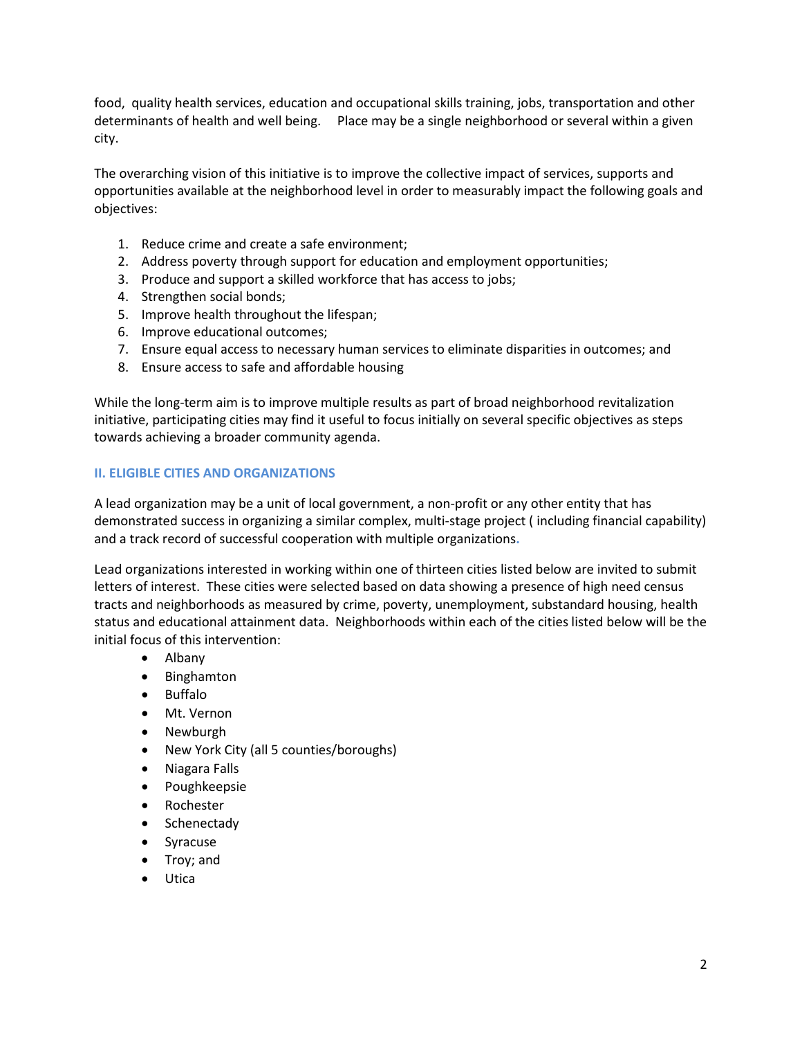food, quality health services, education and occupational skills training, jobs, transportation and other determinants of health and well being. Place may be a single neighborhood or several within a given city.

The overarching vision of this initiative is to improve the collective impact of services, supports and opportunities available at the neighborhood level in order to measurably impact the following goals and objectives:

- 1. Reduce crime and create a safe environment;
- 2. Address poverty through support for education and employment opportunities;
- 3. Produce and support a skilled workforce that has access to jobs;
- 4. Strengthen social bonds;
- 5. Improve health throughout the lifespan;
- 6. Improve educational outcomes;
- 7. Ensure equal access to necessary human services to eliminate disparities in outcomes; and
- 8. Ensure access to safe and affordable housing

While the long-term aim is to improve multiple results as part of broad neighborhood revitalization initiative, participating cities may find it useful to focus initially on several specific objectives as steps towards achieving a broader community agenda.

#### **II. ELIGIBLE CITIES AND ORGANIZATIONS**

A lead organization may be a unit of local government, a non-profit or any other entity that has demonstrated success in organizing a similar complex, multi-stage project ( including financial capability) and a track record of successful cooperation with multiple organizations**.** 

Lead organizations interested in working within one of thirteen cities listed below are invited to submit letters of interest. These cities were selected based on data showing a presence of high need census tracts and neighborhoods as measured by crime, poverty, unemployment, substandard housing, health status and educational attainment data. Neighborhoods within each of the cities listed below will be the initial focus of this intervention:

- Albany
- Binghamton
- Buffalo
- Mt. Vernon
- Newburgh
- New York City (all 5 counties/boroughs)
- Niagara Falls
- Poughkeepsie
- Rochester
- Schenectady
- Syracuse
- Troy; and
- **Utica**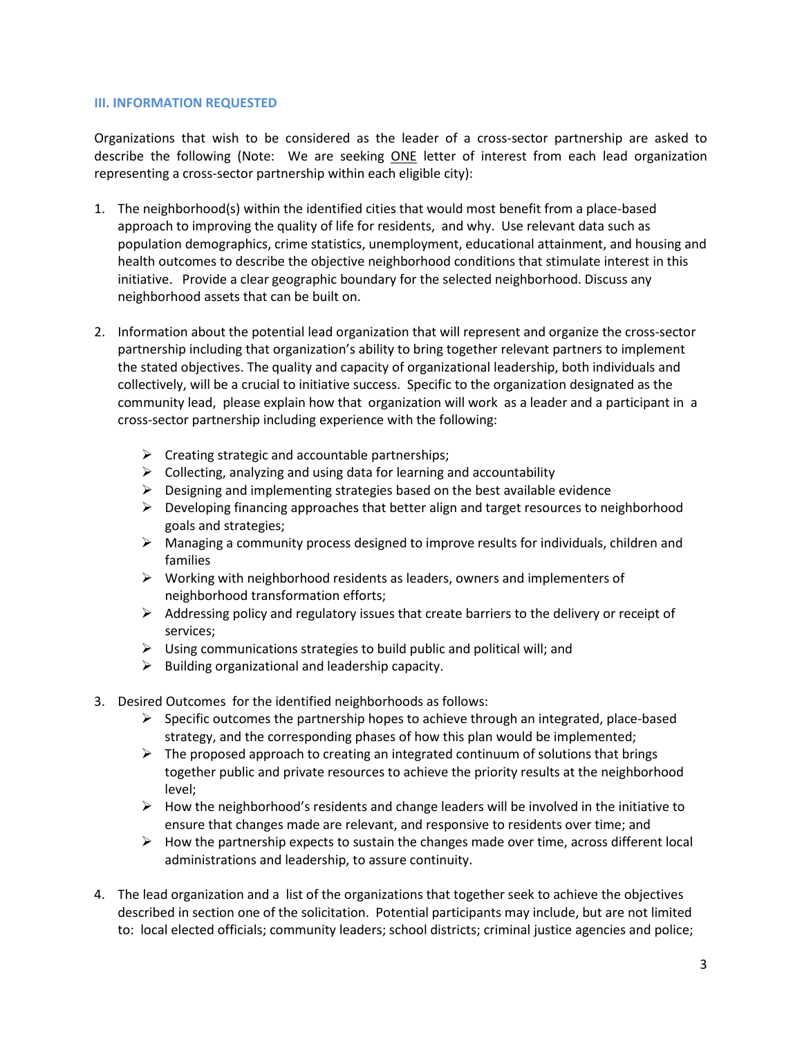#### **III. INFORMATION REQUESTED**

Organizations that wish to be considered as the leader of a cross-sector partnership are asked to describe the following (Note: We are seeking ONE letter of interest from each lead organization representing a cross-sector partnership within each eligible city):

- 1. The neighborhood(s) within the identified cities that would most benefit from a place-based approach to improving the quality of life for residents, and why. Use relevant data such as population demographics, crime statistics, unemployment, educational attainment, and housing and health outcomes to describe the objective neighborhood conditions that stimulate interest in this initiative. Provide a clear geographic boundary for the selected neighborhood. Discuss any neighborhood assets that can be built on.
- 2. Information about the potential lead organization that will represent and organize the cross-sector partnership including that organization's ability to bring together relevant partners to implement the stated objectives. The quality and capacity of organizational leadership, both individuals and collectively, will be a crucial to initiative success. Specific to the organization designated as the community lead, please explain how that organization will work as a leader and a participant in a cross-sector partnership including experience with the following:
	- $\triangleright$  Creating strategic and accountable partnerships;
	- $\triangleright$  Collecting, analyzing and using data for learning and accountability
	- $\triangleright$  Designing and implementing strategies based on the best available evidence
	- $\triangleright$  Developing financing approaches that better align and target resources to neighborhood goals and strategies;
	- $\triangleright$  Managing a community process designed to improve results for individuals, children and families
	- $\triangleright$  Working with neighborhood residents as leaders, owners and implementers of neighborhood transformation efforts;
	- $\triangleright$  Addressing policy and regulatory issues that create barriers to the delivery or receipt of services;
	- $\triangleright$  Using communications strategies to build public and political will; and
	- $\triangleright$  Building organizational and leadership capacity.
- 3. Desired Outcomes for the identified neighborhoods as follows:
	- $\triangleright$  Specific outcomes the partnership hopes to achieve through an integrated, place-based strategy, and the corresponding phases of how this plan would be implemented;
	- $\triangleright$  The proposed approach to creating an integrated continuum of solutions that brings together public and private resources to achieve the priority results at the neighborhood level;
	- $\triangleright$  How the neighborhood's residents and change leaders will be involved in the initiative to ensure that changes made are relevant, and responsive to residents over time; and
	- $\triangleright$  How the partnership expects to sustain the changes made over time, across different local administrations and leadership, to assure continuity.
- 4. The lead organization and a list of the organizations that together seek to achieve the objectives described in section one of the solicitation. Potential participants may include, but are not limited to: local elected officials; community leaders; school districts; criminal justice agencies and police;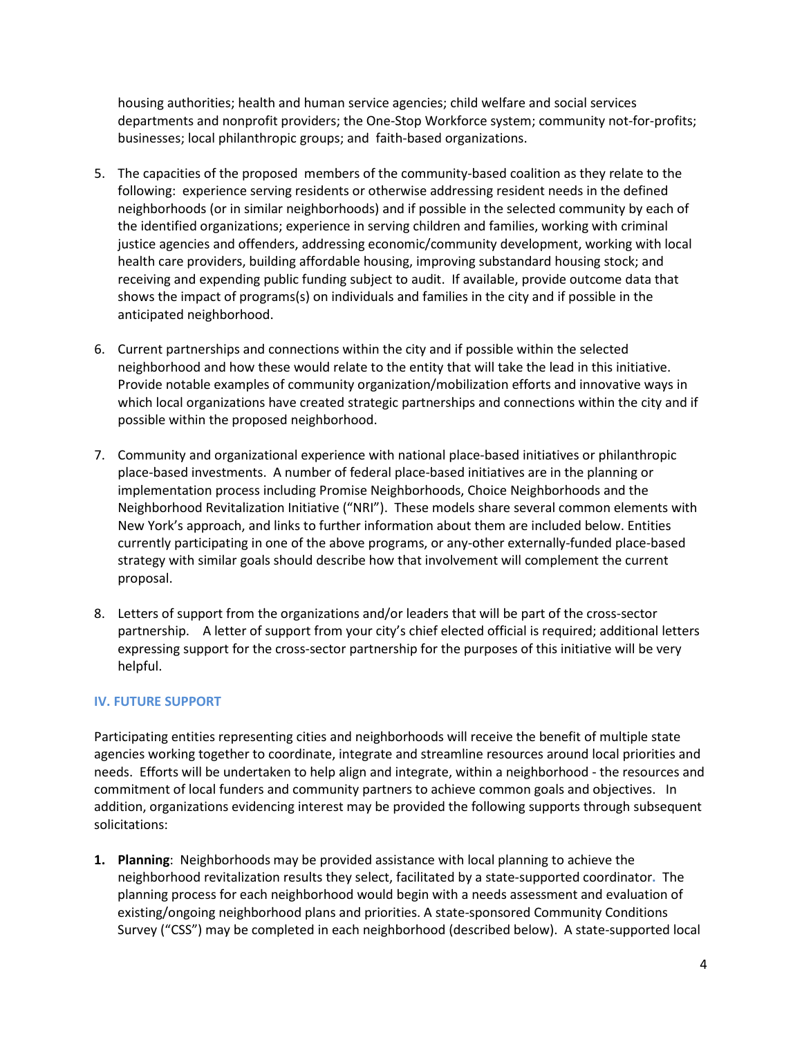housing authorities; health and human service agencies; child welfare and social services departments and nonprofit providers; the One-Stop Workforce system; community not-for-profits; businesses; local philanthropic groups; and faith-based organizations.

- 5. The capacities of the proposed members of the community-based coalition as they relate to the following: experience serving residents or otherwise addressing resident needs in the defined neighborhoods (or in similar neighborhoods) and if possible in the selected community by each of the identified organizations; experience in serving children and families, working with criminal justice agencies and offenders, addressing economic/community development, working with local health care providers, building affordable housing, improving substandard housing stock; and receiving and expending public funding subject to audit. If available, provide outcome data that shows the impact of programs(s) on individuals and families in the city and if possible in the anticipated neighborhood.
- 6. Current partnerships and connections within the city and if possible within the selected neighborhood and how these would relate to the entity that will take the lead in this initiative. Provide notable examples of community organization/mobilization efforts and innovative ways in which local organizations have created strategic partnerships and connections within the city and if possible within the proposed neighborhood.
- 7. Community and organizational experience with national place-based initiatives or philanthropic place-based investments. A number of federal place-based initiatives are in the planning or implementation process including Promise Neighborhoods, Choice Neighborhoods and the Neighborhood Revitalization Initiative ("NRI"). These models share several common elements with New York's approach, and links to further information about them are included below. Entities currently participating in one of the above programs, or any-other externally-funded place-based strategy with similar goals should describe how that involvement will complement the current proposal.
- 8. Letters of support from the organizations and/or leaders that will be part of the cross-sector partnership. A letter of support from your city's chief elected official is required; additional letters expressing support for the cross-sector partnership for the purposes of this initiative will be very helpful.

# **IV. FUTURE SUPPORT**

Participating entities representing cities and neighborhoods will receive the benefit of multiple state agencies working together to coordinate, integrate and streamline resources around local priorities and needs. Efforts will be undertaken to help align and integrate, within a neighborhood - the resources and commitment of local funders and community partners to achieve common goals and objectives. In addition, organizations evidencing interest may be provided the following supports through subsequent solicitations:

**1. Planning**: Neighborhoods may be provided assistance with local planning to achieve the neighborhood revitalization results they select, facilitated by a state-supported coordinator**.** The planning process for each neighborhood would begin with a needs assessment and evaluation of existing/ongoing neighborhood plans and priorities. A state-sponsored Community Conditions Survey ("CSS") may be completed in each neighborhood (described below). A state-supported local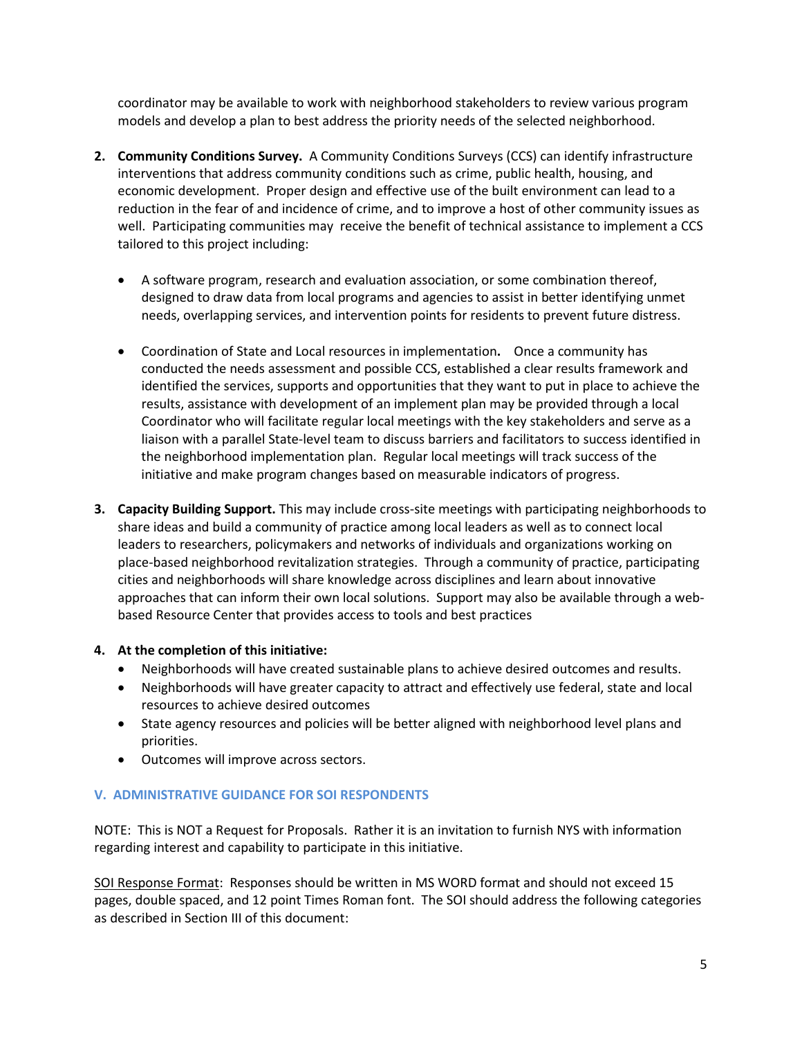coordinator may be available to work with neighborhood stakeholders to review various program models and develop a plan to best address the priority needs of the selected neighborhood.

- **2. Community Conditions Survey.** A Community Conditions Surveys (CCS) can identify infrastructure interventions that address community conditions such as crime, public health, housing, and economic development. Proper design and effective use of the built environment can lead to a reduction in the fear of and incidence of crime, and to improve a host of other community issues as well. Participating communities may receive the benefit of technical assistance to implement a CCS tailored to this project including:
	- A software program, research and evaluation association, or some combination thereof, designed to draw data from local programs and agencies to assist in better identifying unmet needs, overlapping services, and intervention points for residents to prevent future distress.
	- Coordination of State and Local resources in implementation**.** Once a community has conducted the needs assessment and possible CCS, established a clear results framework and identified the services, supports and opportunities that they want to put in place to achieve the results, assistance with development of an implement plan may be provided through a local Coordinator who will facilitate regular local meetings with the key stakeholders and serve as a liaison with a parallel State-level team to discuss barriers and facilitators to success identified in the neighborhood implementation plan. Regular local meetings will track success of the initiative and make program changes based on measurable indicators of progress.
- **3. Capacity Building Support.** This may include cross-site meetings with participating neighborhoods to share ideas and build a community of practice among local leaders as well as to connect local leaders to researchers, policymakers and networks of individuals and organizations working on place-based neighborhood revitalization strategies. Through a community of practice, participating cities and neighborhoods will share knowledge across disciplines and learn about innovative approaches that can inform their own local solutions. Support may also be available through a webbased Resource Center that provides access to tools and best practices

# **4. At the completion of this initiative:**

- Neighborhoods will have created sustainable plans to achieve desired outcomes and results.
- Neighborhoods will have greater capacity to attract and effectively use federal, state and local resources to achieve desired outcomes
- State agency resources and policies will be better aligned with neighborhood level plans and priorities.
- Outcomes will improve across sectors.

# **V. ADMINISTRATIVE GUIDANCE FOR SOI RESPONDENTS**

NOTE: This is NOT a Request for Proposals. Rather it is an invitation to furnish NYS with information regarding interest and capability to participate in this initiative.

SOI Response Format: Responses should be written in MS WORD format and should not exceed 15 pages, double spaced, and 12 point Times Roman font. The SOI should address the following categories as described in Section III of this document: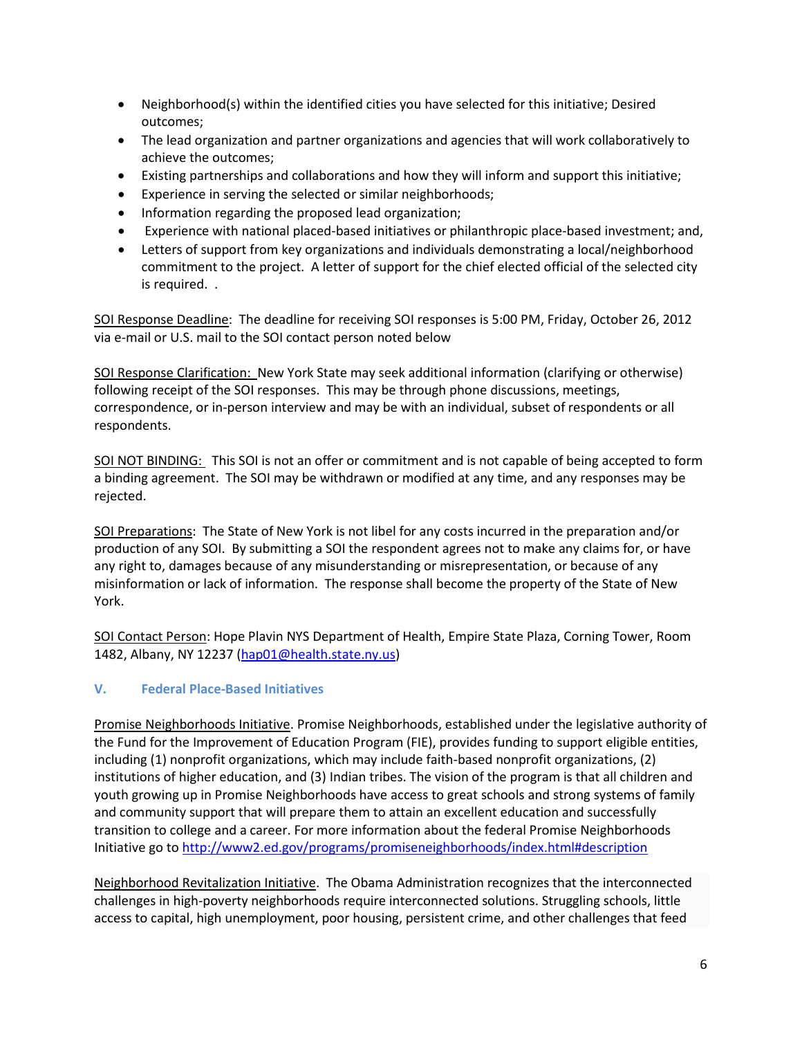- Neighborhood(s) within the identified cities you have selected for this initiative; Desired outcomes;
- The lead organization and partner organizations and agencies that will work collaboratively to achieve the outcomes;
- Existing partnerships and collaborations and how they will inform and support this initiative;
- Experience in serving the selected or similar neighborhoods;
- Information regarding the proposed lead organization;
- Experience with national placed-based initiatives or philanthropic place-based investment; and,
- Letters of support from key organizations and individuals demonstrating a local/neighborhood commitment to the project. A letter of support for the chief elected official of the selected city is required. .

SOI Response Deadline: The deadline for receiving SOI responses is 5:00 PM, Friday, October 26, 2012 via e-mail or U.S. mail to the SOI contact person noted below

SOI Response Clarification: New York State may seek additional information (clarifying or otherwise) following receipt of the SOI responses. This may be through phone discussions, meetings, correspondence, or in-person interview and may be with an individual, subset of respondents or all respondents.

SOI NOT BINDING: This SOI is not an offer or commitment and is not capable of being accepted to form a binding agreement. The SOI may be withdrawn or modified at any time, and any responses may be rejected.

SOI Preparations: The State of New York is not libel for any costs incurred in the preparation and/or production of any SOI. By submitting a SOI the respondent agrees not to make any claims for, or have any right to, damages because of any misunderstanding or misrepresentation, or because of any misinformation or lack of information. The response shall become the property of the State of New York.

SOI Contact Person: Hope Plavin NYS Department of Health, Empire State Plaza, Corning Tower, Room 1482, Albany, NY 12237 [\(hap01@health.state.ny.us\)](mailto:hap01@health.state.ny.us)

# **V. Federal Place-Based Initiatives**

Promise Neighborhoods Initiative. Promise Neighborhoods, established under the legislative authority of the Fund for the Improvement of Education Program (FIE), provides funding to support eligible entities, including (1) nonprofit organizations, which may include faith-based nonprofit organizations, (2) institutions of higher education, and (3) Indian tribes. The vision of the program is that all children and youth growing up in Promise Neighborhoods have access to great schools and strong systems of family and community support that will prepare them to attain an excellent education and successfully transition to college and a career. For more information about the federal Promise Neighborhoods Initiative go to<http://www2.ed.gov/programs/promiseneighborhoods/index.html#description>

Neighborhood Revitalization Initiative. The Obama Administration recognizes that the interconnected challenges in high-poverty neighborhoods require interconnected solutions. Struggling schools, little access to capital, high unemployment, poor housing, persistent crime, and other challenges that feed